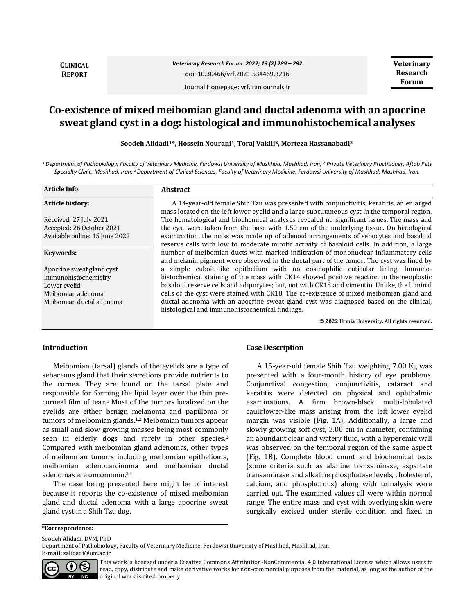**CLINICAL REPORT**

*Veterinary Research Forum. 2022; 13 (2) 289 – 292* doi: 10.30466/vrf.2021.534469.3216

Journal Homepage: vrf.iranjournals.ir

**Veterinary Research Forum**

# **Co-existence of mixed meibomian gland and ductal adenoma with an apocrine sweat gland cyst in a dog: histological and immunohistochemical analyses**

**Soodeh Alidadi1\*, Hossein Nourani1, Toraj Vakili2, Morteza Hassanabadi<sup>3</sup>**

*<sup>1</sup>Department of Pathobiology, Faculty of Veterinary Medicine, Ferdowsi University of Mashhad, Mashhad, Iran; <sup>2</sup> Private Veterinary Practitioner, Aftab Pets Specialty Clinic, Mashhad, Iran; <sup>3</sup>Department of Clinical Sciences, Faculty of Veterinary Medicine, Ferdowsi University of Mashhad, Mashhad, Iran.*

| <b>Article Info</b>            | <b>Abstract</b>                                                                                                                                                                        |
|--------------------------------|----------------------------------------------------------------------------------------------------------------------------------------------------------------------------------------|
| <b>Article history:</b>        | A 14-year-old female Shih Tzu was presented with conjunctivitis, keratitis, an enlarged<br>mass located on the left lower eyelid and a large subcutaneous cyst in the temporal region. |
| Received: 27 July 2021         | The hematological and biochemical analyses revealed no significant issues. The mass and                                                                                                |
| Accepted: 26 October 2021      | the cyst were taken from the base with 1.50 cm of the underlying tissue. On histological                                                                                               |
| Available online: 15 June 2022 | examination, the mass was made up of adenoid arrangements of sebocytes and basaloid<br>reserve cells with low to moderate mitotic activity of basaloid cells. In addition, a large     |
| Keywords:                      | number of meibomian ducts with marked infiltration of mononuclear inflammatory cells<br>and melanin pigment were observed in the ductal part of the tumor. The cyst was lined by       |
| Apocrine sweat gland cyst      | a simple cuboid-like epithelium with no eosinophilic cuticular lining. Immuno-                                                                                                         |
| Immunohistochemistry           | histochemical staining of the mass with CK14 showed positive reaction in the neoplastic                                                                                                |
| Lower evelid                   | basaloid reserve cells and adipocytes; but, not with CK18 and vimentin. Unlike, the luminal                                                                                            |
| Meibomian adenoma              | cells of the cyst were stained with CK18. The co-existence of mixed meibomian gland and                                                                                                |
| Meibomian ductal adenoma       | ductal adenoma with an apocrine sweat gland cyst was diagnosed based on the clinical,<br>histological and immunohistochemical findings.                                                |
|                                | © 2022 Urmia University. All rights reserved.                                                                                                                                          |

### **Introduction**

Meibomian (tarsal) glands of the eyelids are a type of sebaceous gland that their secretions provide nutrients to the cornea. They are found on the tarsal plate and responsible for forming the lipid layer over the thin precorneal film of tear.<sup>1</sup> Most of the tumors localized on the eyelids are either benign melanoma and papilloma or tumors of meibomian glands.1,2 Meibomian tumors appear as small and slow growing masses being most commonly seen in elderly dogs and rarely in other species.<sup>2</sup> Compared with meibomian gland adenomas, other types of meibomian tumors including meibomian epithelioma, meibomian adenocarcinoma and meibomian ductal adenomas are uncommon.3,4

The case being presented here might be of interest because it reports the co-existence of mixed meibomian gland and ductal adenoma with a large apocrine sweat gland cyst in a Shih Tzu dog.

### **Case Description**

A 15-year-old female Shih Tzu weighting 7.00 Kg was presented with a four-month history of eye problems. Conjunctival congestion, conjunctivitis, cataract and keratitis were detected on physical and ophthalmic examinations. A firm brown-black multi-lobulated cauliflower-like mass arising from the left lower eyelid margin was visible (Fig. 1A). Additionally, a large and slowly growing soft cyst, 3.00 cm in diameter, containing an abundant clear and watery fluid, with a hyperemic wall was observed on the temporal region of the same aspect (Fig. 1B). Complete blood count and biochemical tests (some criteria such as alanine transaminase, aspartate transaminase and alkaline phosphatase levels, cholesterol, calcium, and phosphorous) along with urinalysis were carried out. The examined values all were within normal range. The entire mass and cyst with overlying skin were surgically excised under sterile condition and fixed in

**\*Correspondence:**

Soodeh Alidadi. DVM, PhD

Department of Pathobiology, Faculty of Veterinary Medicine, Ferdowsi University of Mashhad, Mashhad, Iran **E-mail:** salidadi@um.ac.ir



This work is licensed under a [Creative Commons Attribution-NonCommercial 4.0 International License](http://creativecommons.org/licenses/by-nc/4.0/) which allows users to read, copy, distribute and make derivative works for non-commercial purposes from the material, as long as the author of the original work is cited properly.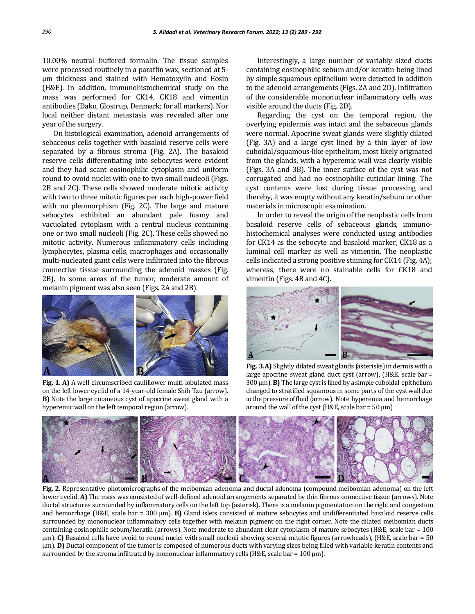10.00% neutral buffered formalin. The tissue samples were processed routinely in a paraffin wax, sectioned at 5 µm thickness and stained with Hematoxylin and Eosin (H&E). In addition, immunohistochemical study on the mass was performed for CK14, CK18 and vimentin antibodies (Dako, Glostrup, Denmark; for all markers). Nor local neither distant metastasis was revealed after one year of the surgery.

On histological examination, adenoid arrangements of sebaceous cells together with basaloid reserve cells were separated by a fibrous stroma (Fig. 2A). The basaloid reserve cells differentiating into sebocytes were evident and they had scant eosinophilic cytoplasm and uniform round to ovoid nuclei with one to two small nucleoli (Figs. 2B and 2C). These cells showed moderate mitotic activity with two to three mitotic figures per each high-power field with no pleomorphism (Fig. 2C). The large and mature sebocytes exhibited an abundant pale foamy and vacuolated cytoplasm with a central nucleus containing one or two small nucleoli (Fig. 2C). These cells showed no mitotic activity. Numerous inflammatory cells including lymphocytes, plasma cells, macrophages and occasionally multi-nucleated giant cells were infiltrated into the fibrous connective tissue surrounding the adenoid masses (Fig. 2B). In some areas of the tumor, moderate amount of melanin pigment was also seen (Figs. 2A and 2B).



**Fig. 1. A)** A well-circumscribed cauliflower multi-lobulated mass on the left lower eyelid of a 14-year-old female Shih Tzu (arrow). **B)** Note the large cutaneous cyst of apocrine sweat gland with a hyperemic wall on the left temporal region (arrow).

Interestingly, a large number of variably sized ducts containing eosinophilic sebum and/or keratin being lined by simple squamous epithelium were detected in addition to the adenoid arrangements (Figs. 2A and 2D). Infiltration of the considerable mononuclear inflammatory cells was visible around the ducts (Fig. 2D).

Regarding the cyst on the temporal region, the overlying epidermis was intact and the sebaceous glands were normal. Apocrine sweat glands were slightly dilated (Fig. 3A) and a large cyst lined by a thin layer of low cuboidal/squamous-like epithelium, most likely originated from the glands, with a hyperemic wall was clearly visible (Figs. 3A and 3B). The inner surface of the cyst was not corrugated and had no eosinophilic cuticular lining. The cyst contents were lost during tissue processing and thereby, it was empty without any keratin/sebum or other materials in microscopic examination.

In order to reveal the origin of the neoplastic cells from basaloid reserve cells of sebaceous glands, immunohistochemical analyses were conducted using antibodies for CK14 as the sebocyte and basaloid marker, CK18 as a luminal cell marker as well as vimentin. The neoplastic cells indicated a strong positive staining for CK14 (Fig. 4A); whereas, there were no stainable cells for CK18 and vimentin (Figs. 4B and 4C).



**Fig. 3.A)** Slightly dilated sweat glands (asterisks) in dermis with a large apocrine sweat gland duct cyst (arrow), (H&E, scale bar = 300 µm).**B)** The large cystis lined by a simple cuboidal epithelium changed to stratified squamous in some parts of the cyst wall due to the pressure of fluid (arrow). Note hyperemia and hemorrhage around the wall of the cyst (H&E, scale bar =  $50 \mu m$ )



**Fig. 2.** Representative photomicrographs of the meibomian adenoma and ductal adenoma (compound meibomian adenoma) on the left lower eyelid. **A)** The mass was consisted of well-defined adenoid arrangements separated by thin fibrous connective tissue (arrows). Note ductal structures surrounded by inflammatory cells on the left top (asterisk). There is a melanin pigmentation on the right and congestion and hemorrhage (H&E, scale bar = 300 µm). **B)** Gland islets consisted of mature sebocytes and undifferentiated basaloid reserve cells surrounded by mononuclear inflammatory cells together with melanin pigment on the right corner. Note the dilated meibomian ducts containing eosinophilic sebum/keratin (arrows). Note moderate to abundant clear cytoplasm of mature sebocytes (H&E, scale bar = 100 µm). **C)** Basaloid cells have ovoid to round nuclei with small nucleoli showing several mitotic figures (arrowheads), (H&E, scale bar = 50 µm). **D)** Ductal component of the tumor is composed of numerous ducts with varying sizes being filled with variable keratin contents and surrounded by the stroma infiltrated by mononuclear inflammatory cells (H&E, scale bar =  $100 \mu m$ ).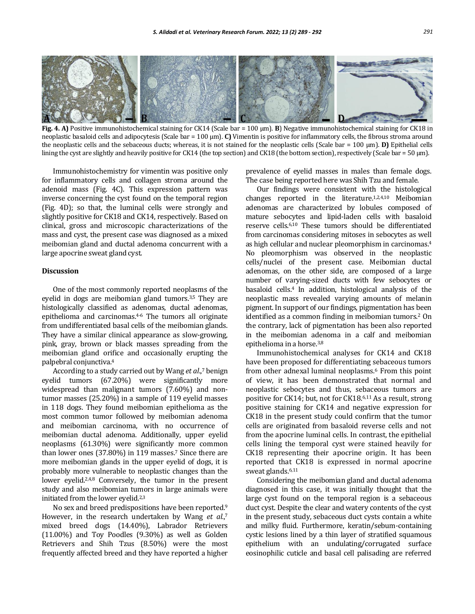

**Fig. 4. A)** Positive immunohistochemical staining for CK14 (Scale bar = 100 µm). **B**) Negative immunohistochemical staining for CK18 in neoplastic basaloid cells and adipocytesis (Scale bar = 100 µm). **C)** Vimentin is positive for inflammatory cells, the fibrous stroma around the neoplastic cells and the sebaceous ducts; whereas, it is not stained for the neoplastic cells (Scale bar = 100 µm). **D)** Epithelial cells lining the cyst are slightly and heavily positive for CK14 (the top section) and CK18 (the bottom section), respectively (Scale bar =  $50 \mu m$ ).

Immunohistochemistry for vimentin was positive only for inflammatory cells and collagen stroma around the adenoid mass (Fig. 4C). This expression pattern was inverse concerning the cyst found on the temporal region (Fig. 4D); so that, the luminal cells were strongly and slightly positive for CK18 and CK14, respectively. Based on clinical, gross and microscopic characterizations of the mass and cyst, the present case was diagnosed as a mixed meibomian gland and ductal adenoma concurrent with a large apocrine sweat gland cyst.

## **Discussion**

One of the most commonly reported neoplasms of the eyelid in dogs are meibomian gland tumors.<sup>3,5</sup> They are histologically classified as adenomas, ductal adenomas, epithelioma and carcinomas.4-6 The tumors all originate from undifferentiated basal cells of the meibomian glands. They have a similar clinical appearance as slow-growing, pink, gray, brown or black masses spreading from the meibomian gland orifice and occasionally erupting the palpebral conjunctiva.<sup>4</sup>

According to a study carried out by Wang *et al*., <sup>7</sup> benign eyelid tumors (67.20%) were significantly more widespread than malignant tumors (7.60%) and nontumor masses (25.20%) in a sample of 119 eyelid masses in 118 dogs. They found meibomian epithelioma as the most common tumor followed by meibomian adenoma and meibomian carcinoma, with no occurrence of meibomian ductal adenoma. Additionally, upper eyelid neoplasms (61.30%) were significantly more common than lower ones (37.80%) in 119 masses.<sup>7</sup> Since there are more meibomian glands in the upper eyelid of dogs, it is probably more vulnerable to neoplastic changes than the lower eyelid.<sup>2,4,8</sup> Conversely, the tumor in the present study and also meibomian tumors in large animals were initiated from the lower eyelid.2,3

No sex and breed predispositions have been reported.<sup>9</sup> However, in the research undertaken by Wang et al.,7 mixed breed dogs (14.40%), Labrador Retrievers (11.00%) and Toy Poodles (9.30%) as well as Golden Retrievers and Shih Tzus (8.50%) were the most frequently affected breed and they have reported a higher

prevalence of eyelid masses in males than female dogs. The case being reported here was Shih Tzu and female.

Our findings were consistent with the histological changes reported in the literature.1,2,4,10 Meibomian adenomas are characterized by lobules composed of mature sebocytes and lipid-laden cells with basaloid reserve cells.6,10 These tumors should be differentiated from carcinomas considering mitoses in sebocytes as well as high cellular and nuclear pleomorphism in carcinomas.<sup>4</sup> No pleomorphism was observed in the neoplastic cells/nuclei of the present case. Meibomian ductal adenomas, on the other side, are composed of a large number of varying-sized ducts with few sebocytes or basaloid cells.4 In addition, histological analysis of the neoplastic mass revealed varying amounts of melanin pigment. In support of our findings, pigmentation has been identified as a common finding in meibomian tumors.<sup>2</sup> On the contrary, lack of pigmentation has been also reported in the meibomian adenoma in a calf and meibomian epithelioma in a horse.3,8

Immunohistochemical analyses for CK14 and CK18 have been proposed for differentiating sebaceous tumors from other adnexal luminal neoplasms.<sup>6</sup> From this point of view, it has been demonstrated that normal and neoplastic sebocytes and thus, sebaceous tumors are positive for CK14; but, not for CK18.6,11 As a result, strong positive staining for CK14 and negative expression for CK18 in the present study could confirm that the tumor cells are originated from basaloid reverse cells and not from the apocrine luminal cells. In contrast, the epithelial cells lining the temporal cyst were stained heavily for CK18 representing their apocrine origin. It has been reported that CK18 is expressed in normal apocrine sweat glands.6,11

Considering the meibomian gland and ductal adenoma diagnosed in this case, it was initially thought that the large cyst found on the temporal region is a sebaceous duct cyst. Despite the clear and watery contents of the cyst in the present study, sebaceous duct cysts contain a white and milky fluid. Furthermore, keratin/sebum-containing cystic lesions lined by a thin layer of stratified squamous epithelium with an undulating/corrugated surface eosinophilic cuticle and basal cell palisading are referred